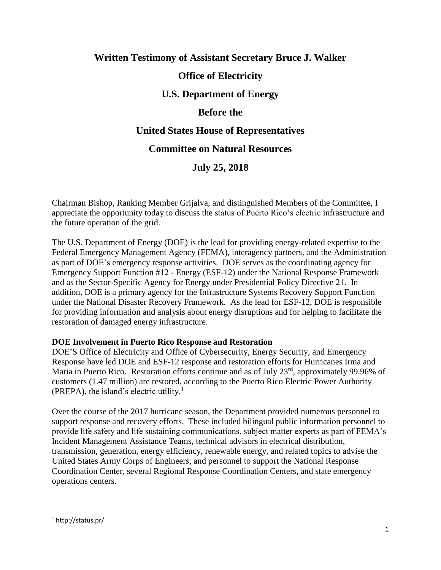# **Written Testimony of Assistant Secretary Bruce J. Walker Office of Electricity U.S. Department of Energy Before the United States House of Representatives Committee on Natural Resources**

## **July 25, 2018**

Chairman Bishop, Ranking Member Grijalva, and distinguished Members of the Committee, I appreciate the opportunity today to discuss the status of Puerto Rico's electric infrastructure and the future operation of the grid.

The U.S. Department of Energy (DOE) is the lead for providing energy-related expertise to the Federal Emergency Management Agency (FEMA), interagency partners, and the Administration as part of DOE's emergency response activities. DOE serves as the coordinating agency for Emergency Support Function #12 - Energy (ESF-12) under the National Response Framework and as the Sector-Specific Agency for Energy under Presidential Policy Directive 21. In addition, DOE is a primary agency for the Infrastructure Systems Recovery Support Function under the National Disaster Recovery Framework. As the lead for ESF-12, DOE is responsible for providing information and analysis about energy disruptions and for helping to facilitate the restoration of damaged energy infrastructure.

#### **DOE Involvement in Puerto Rico Response and Restoration**

DOE'S Office of Electricity and Office of Cybersecurity, Energy Security, and Emergency Response have led DOE and ESF-12 response and restoration efforts for Hurricanes Irma and Maria in Puerto Rico. Restoration efforts continue and as of July 23<sup>rd</sup>, approximately 99.96% of customers (1.47 million) are restored, according to the Puerto Rico Electric Power Authority (PREPA), the island's electric utility. 1

Over the course of the 2017 hurricane season, the Department provided numerous personnel to support response and recovery efforts. These included bilingual public information personnel to provide life safety and life sustaining communications, subject matter experts as part of FEMA's Incident Management Assistance Teams, technical advisors in electrical distribution, transmission, generation, energy efficiency, renewable energy, and related topics to advise the United States Army Corps of Engineers, and personnel to support the National Response Coordination Center, several Regional Response Coordination Centers, and state emergency operations centers.

l

<sup>1</sup> http://status.pr/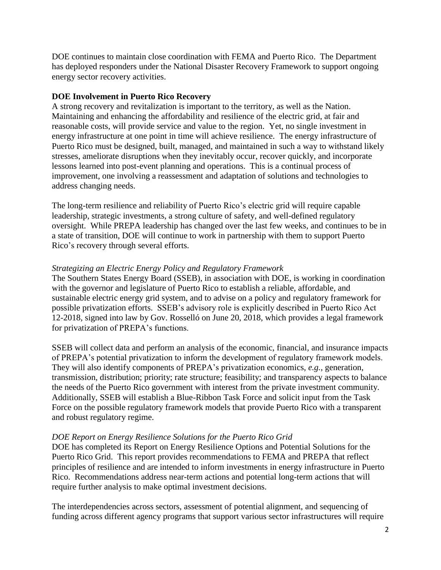DOE continues to maintain close coordination with FEMA and Puerto Rico. The Department has deployed responders under the National Disaster Recovery Framework to support ongoing energy sector recovery activities.

#### **DOE Involvement in Puerto Rico Recovery**

A strong recovery and revitalization is important to the territory, as well as the Nation. Maintaining and enhancing the affordability and resilience of the electric grid, at fair and reasonable costs, will provide service and value to the region. Yet, no single investment in energy infrastructure at one point in time will achieve resilience. The energy infrastructure of Puerto Rico must be designed, built, managed, and maintained in such a way to withstand likely stresses, ameliorate disruptions when they inevitably occur, recover quickly, and incorporate lessons learned into post-event planning and operations. This is a continual process of improvement, one involving a reassessment and adaptation of solutions and technologies to address changing needs.

The long-term resilience and reliability of Puerto Rico's electric grid will require capable leadership, strategic investments, a strong culture of safety, and well-defined regulatory oversight. While PREPA leadership has changed over the last few weeks, and continues to be in a state of transition, DOE will continue to work in partnership with them to support Puerto Rico's recovery through several efforts.

#### *Strategizing an Electric Energy Policy and Regulatory Framework*

The Southern States Energy Board (SSEB), in association with DOE, is working in coordination with the governor and legislature of Puerto Rico to establish a reliable, affordable, and sustainable electric energy grid system, and to advise on a policy and regulatory framework for possible privatization efforts. SSEB's advisory role is explicitly described in Puerto Rico Act 12-2018, signed into law by Gov. Rosselló on June 20, 2018, which provides a legal framework for privatization of PREPA's functions.

SSEB will collect data and perform an analysis of the economic, financial, and insurance impacts of PREPA's potential privatization to inform the development of regulatory framework models. They will also identify components of PREPA's privatization economics, *e.g.*, generation, transmission, distribution; priority; rate structure; feasibility; and transparency aspects to balance the needs of the Puerto Rico government with interest from the private investment community. Additionally, SSEB will establish a Blue-Ribbon Task Force and solicit input from the Task Force on the possible regulatory framework models that provide Puerto Rico with a transparent and robust regulatory regime.

#### *DOE Report on Energy Resilience Solutions for the Puerto Rico Grid*

DOE has completed its Report on Energy Resilience Options and Potential Solutions for the Puerto Rico Grid. This report provides recommendations to FEMA and PREPA that reflect principles of resilience and are intended to inform investments in energy infrastructure in Puerto Rico. Recommendations address near-term actions and potential long-term actions that will require further analysis to make optimal investment decisions.

The interdependencies across sectors, assessment of potential alignment, and sequencing of funding across different agency programs that support various sector infrastructures will require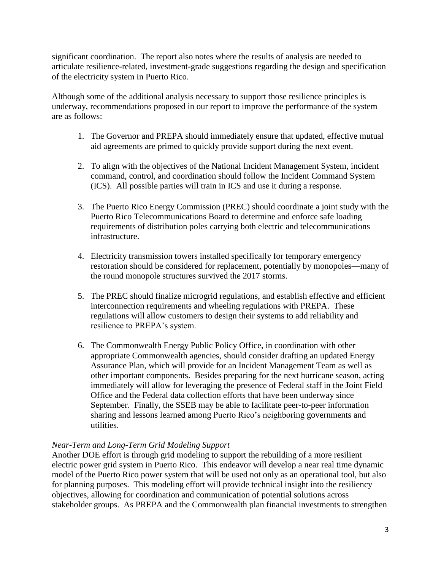significant coordination. The report also notes where the results of analysis are needed to articulate resilience-related, investment-grade suggestions regarding the design and specification of the electricity system in Puerto Rico.

Although some of the additional analysis necessary to support those resilience principles is underway, recommendations proposed in our report to improve the performance of the system are as follows:

- 1. The Governor and PREPA should immediately ensure that updated, effective mutual aid agreements are primed to quickly provide support during the next event.
- 2. To align with the objectives of the National Incident Management System, incident command, control, and coordination should follow the Incident Command System (ICS). All possible parties will train in ICS and use it during a response.
- 3. The Puerto Rico Energy Commission (PREC) should coordinate a joint study with the Puerto Rico Telecommunications Board to determine and enforce safe loading requirements of distribution poles carrying both electric and telecommunications infrastructure.
- 4. Electricity transmission towers installed specifically for temporary emergency restoration should be considered for replacement, potentially by monopoles—many of the round monopole structures survived the 2017 storms.
- 5. The PREC should finalize microgrid regulations, and establish effective and efficient interconnection requirements and wheeling regulations with PREPA. These regulations will allow customers to design their systems to add reliability and resilience to PREPA's system.
- 6. The Commonwealth Energy Public Policy Office, in coordination with other appropriate Commonwealth agencies, should consider drafting an updated Energy Assurance Plan, which will provide for an Incident Management Team as well as other important components. Besides preparing for the next hurricane season, acting immediately will allow for leveraging the presence of Federal staff in the Joint Field Office and the Federal data collection efforts that have been underway since September. Finally, the SSEB may be able to facilitate peer-to-peer information sharing and lessons learned among Puerto Rico's neighboring governments and utilities.

#### *Near-Term and Long-Term Grid Modeling Support*

Another DOE effort is through grid modeling to support the rebuilding of a more resilient electric power grid system in Puerto Rico. This endeavor will develop a near real time dynamic model of the Puerto Rico power system that will be used not only as an operational tool, but also for planning purposes. This modeling effort will provide technical insight into the resiliency objectives, allowing for coordination and communication of potential solutions across stakeholder groups. As PREPA and the Commonwealth plan financial investments to strengthen